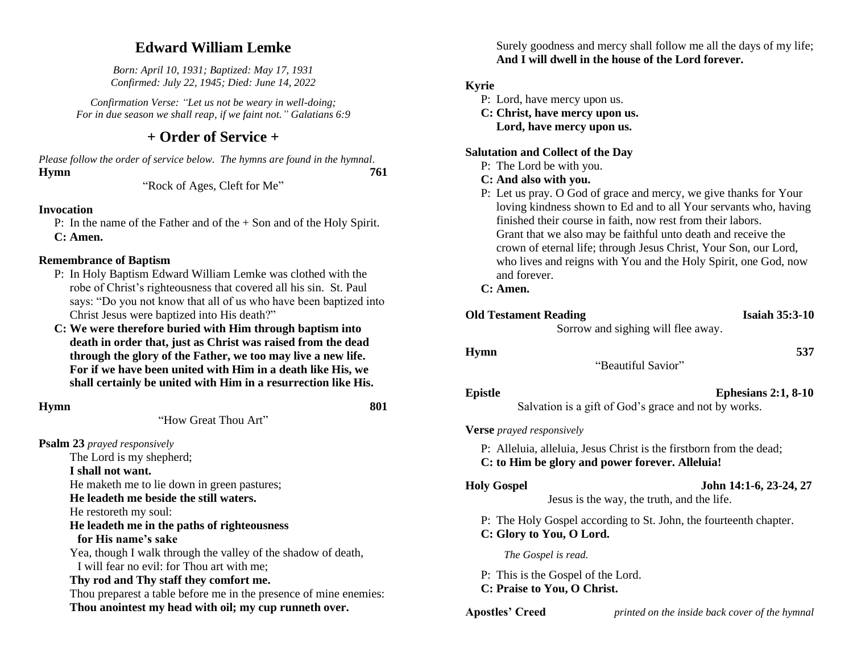# **Edward William Lemke**

*Born: April 10, 1931; Baptized: May 17, 1931 Confirmed: July 22, 1945; Died: June 14, 2022*

*Confirmation Verse: "Let us not be weary in well-doing; For in due season we shall reap, if we faint not." Galatians 6:9*

# **+ Order of Service +**

*Please follow the order of service below. The hymns are found in the hymnal.* **Hymn 761**

"Rock of Ages, Cleft for Me"

#### **Invocation**

P: In the name of the Father and of the + Son and of the Holy Spirit. **C: Amen.**

#### **Remembrance of Baptism**

- P: In Holy Baptism Edward William Lemke was clothed with the robe of Christ's righteousness that covered all his sin. St. Paul says: "Do you not know that all of us who have been baptized into Christ Jesus were baptized into His death?"
- **C: We were therefore buried with Him through baptism into death in order that, just as Christ was raised from the dead through the glory of the Father, we too may live a new life. For if we have been united with Him in a death like His, we shall certainly be united with Him in a resurrection like His.**

#### **Hymn** 801

"How Great Thou Art"

**Psalm 23** *prayed responsively*

The Lord is my shepherd; **I shall not want.** He maketh me to lie down in green pastures; **He leadeth me beside the still waters.** He restoreth my soul: **He leadeth me in the paths of righteousness for His name's sake** Yea, though I walk through the valley of the shadow of death, I will fear no evil: for Thou art with me; **Thy rod and Thy staff they comfort me.** Thou preparest a table before me in the presence of mine enemies: **Thou anointest my head with oil; my cup runneth over.**

Surely goodness and mercy shall follow me all the days of my life; **And I will dwell in the house of the Lord forever.**

### **Kyrie**

- P: Lord, have mercy upon us.
- **C: Christ, have mercy upon us. Lord, have mercy upon us.**

#### **Salutation and Collect of the Day**

- P: The Lord be with you.
- **C: And also with you.**
- P: Let us pray. O God of grace and mercy, we give thanks for Your loving kindness shown to Ed and to all Your servants who, having finished their course in faith, now rest from their labors. Grant that we also may be faithful unto death and receive the crown of eternal life; through Jesus Christ, Your Son, our Lord, who lives and reigns with You and the Holy Spirit, one God, now and forever.

#### **C: Amen.**

| <b>Old Testament Reading</b>                                      | <b>Isaiah 35:3-10</b>                                                                                                  |
|-------------------------------------------------------------------|------------------------------------------------------------------------------------------------------------------------|
|                                                                   | Sorrow and sighing will flee away.                                                                                     |
| <b>Hymn</b>                                                       | 537<br>"Beautiful Savior"                                                                                              |
|                                                                   |                                                                                                                        |
| <b>Epistle</b>                                                    | Ephesians $2:1, 8-10$<br>Salvation is a gift of God's grace and not by works.                                          |
| <b>Verse</b> prayed responsively                                  |                                                                                                                        |
|                                                                   | P: Alleluia, alleluia, Jesus Christ is the firstborn from the dead;<br>C: to Him be glory and power forever. Alleluia! |
| <b>Holy Gospel</b>                                                | John 14:1-6, 23-24, 27<br>Jesus is the way, the truth, and the life.                                                   |
| C: Glory to You, O Lord.                                          | P: The Holy Gospel according to St. John, the fourteenth chapter.                                                      |
| The Gospel is read.                                               |                                                                                                                        |
| P: This is the Gospel of the Lord.<br>C: Praise to You, O Christ. |                                                                                                                        |
| <b>Apostles' Creed</b>                                            | printed on the inside back cover of the hymnal                                                                         |